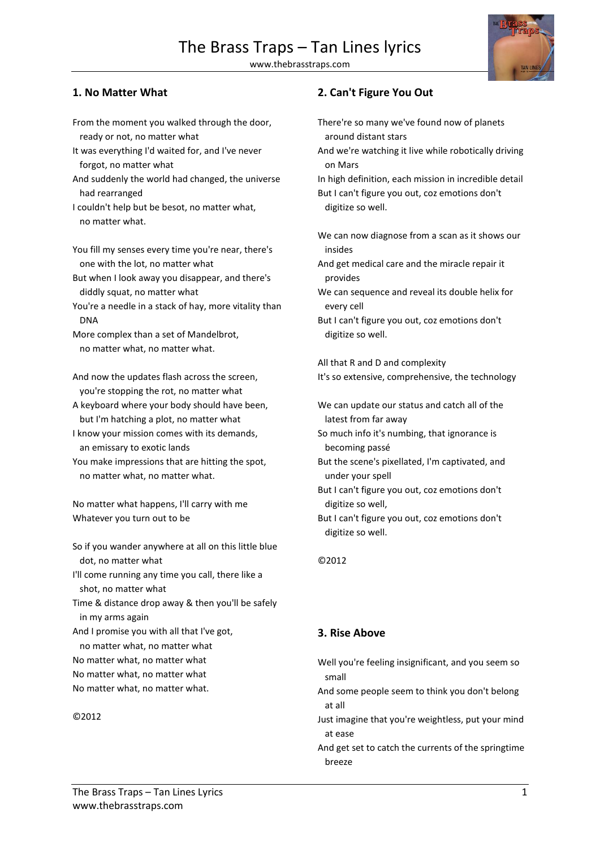### **1. No Matter What**

- From the moment you walked through the door, ready or not, no matter what
- It was everything I'd waited for, and I've never forgot, no matter what
- And suddenly the world had changed, the universe had rearranged
- I couldn't help but be besot, no matter what, no matter what.

You fill my senses every time you're near, there's one with the lot, no matter what

- But when I look away you disappear, and there's diddly squat, no matter what
- You're a needle in a stack of hay, more vitality than DNA

More complex than a set of Mandelbrot, no matter what, no matter what.

And now the updates flash across the screen, you're stopping the rot, no matter what

- A keyboard where your body should have been, but I'm hatching a plot, no matter what
- I know your mission comes with its demands, an emissary to exotic lands
- You make impressions that are hitting the spot, no matter what, no matter what.

No matter what happens, I'll carry with me Whatever you turn out to be

So if you wander anywhere at all on this little blue dot, no matter what

I'll come running any time you call, there like a shot, no matter what

Time & distance drop away & then you'll be safely in my arms again

And I promise you with all that I've got,

- no matter what, no matter what
- No matter what, no matter what
- No matter what, no matter what
- No matter what, no matter what.

#### ©2012

### **2. Can't Figure You Out**

- There're so many we've found now of planets around distant stars
- And we're watching it live while robotically driving on Mars

In high definition, each mission in incredible detail But I can't figure you out, coz emotions don't digitize so well.

We can now diagnose from a scan as it shows our insides

- And get medical care and the miracle repair it provides
- We can sequence and reveal its double helix for every cell
- But I can't figure you out, coz emotions don't digitize so well.

All that R and D and complexity

It's so extensive, comprehensive, the technology

- We can update our status and catch all of the latest from far away
- So much info it's numbing, that ignorance is becoming passé
- But the scene's pixellated, I'm captivated, and under your spell
- But I can't figure you out, coz emotions don't digitize so well,
- But I can't figure you out, coz emotions don't digitize so well.

©2012

### **3. Rise Above**

Well you're feeling insignificant, and you seem so small

- And some people seem to think you don't belong at all
- Just imagine that you're weightless, put your mind at ease
- And get set to catch the currents of the springtime breeze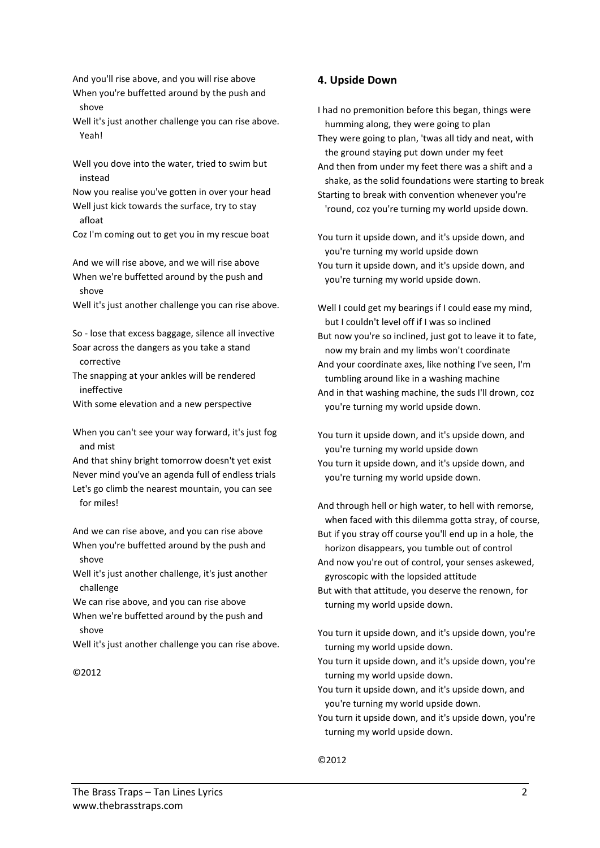And you'll rise above, and you will rise above When you're buffetted around by the push and shove

Well it's just another challenge you can rise above. Yeah!

Well you dove into the water, tried to swim but instead

Now you realise you've gotten in over your head Well just kick towards the surface, try to stay afloat

Coz I'm coming out to get you in my rescue boat

And we will rise above, and we will rise above When we're buffetted around by the push and shove

Well it's just another challenge you can rise above.

So - lose that excess baggage, silence all invective Soar across the dangers as you take a stand corrective

The snapping at your ankles will be rendered ineffective

With some elevation and a new perspective

When you can't see your way forward, it's just fog and mist

And that shiny bright tomorrow doesn't yet exist Never mind you've an agenda full of endless trials Let's go climb the nearest mountain, you can see for miles!

And we can rise above, and you can rise above When you're buffetted around by the push and shove

Well it's just another challenge, it's just another challenge

We can rise above, and you can rise above When we're buffetted around by the push and shove

Well it's just another challenge you can rise above.

#### ©2012

### **4. Upside Down**

I had no premonition before this began, things were humming along, they were going to plan They were going to plan, 'twas all tidy and neat, with the ground staying put down under my feet And then from under my feet there was a shift and a shake, as the solid foundations were starting to break Starting to break with convention whenever you're

'round, coz you're turning my world upside down.

You turn it upside down, and it's upside down, and you're turning my world upside down You turn it upside down, and it's upside down, and you're turning my world upside down.

Well I could get my bearings if I could ease my mind, but I couldn't level off if I was so inclined But now you're so inclined, just got to leave it to fate, now my brain and my limbs won't coordinate And your coordinate axes, like nothing I've seen, I'm tumbling around like in a washing machine And in that washing machine, the suds I'll drown, coz you're turning my world upside down.

You turn it upside down, and it's upside down, and you're turning my world upside down You turn it upside down, and it's upside down, and you're turning my world upside down.

And through hell or high water, to hell with remorse, when faced with this dilemma gotta stray, of course, But if you stray off course you'll end up in a hole, the horizon disappears, you tumble out of control

And now you're out of control, your senses askewed, gyroscopic with the lopsided attitude

But with that attitude, you deserve the renown, for turning my world upside down.

You turn it upside down, and it's upside down, you're turning my world upside down.

You turn it upside down, and it's upside down, you're turning my world upside down.

You turn it upside down, and it's upside down, and you're turning my world upside down.

You turn it upside down, and it's upside down, you're turning my world upside down.

©2012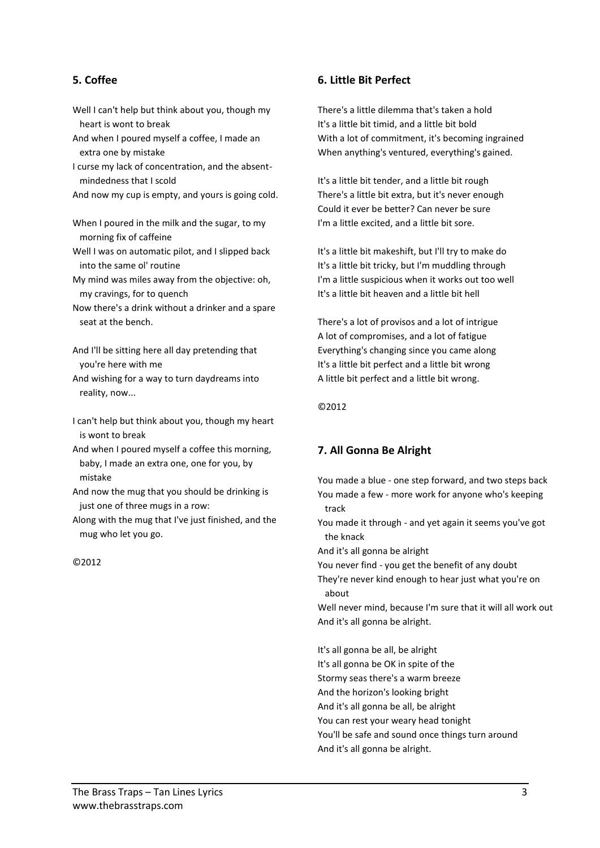## **5. Coffee**

- Well I can't help but think about you, though my heart is wont to break
- And when I poured myself a coffee, I made an extra one by mistake
- I curse my lack of concentration, and the absentmindedness that I scold
- And now my cup is empty, and yours is going cold.
- When I poured in the milk and the sugar, to my morning fix of caffeine
- Well I was on automatic pilot, and I slipped back into the same ol' routine
- My mind was miles away from the objective: oh, my cravings, for to quench
- Now there's a drink without a drinker and a spare seat at the bench.
- And I'll be sitting here all day pretending that you're here with me
- And wishing for a way to turn daydreams into reality, now...
- I can't help but think about you, though my heart is wont to break
- And when I poured myself a coffee this morning, baby, I made an extra one, one for you, by mistake
- And now the mug that you should be drinking is just one of three mugs in a row:
- Along with the mug that I've just finished, and the mug who let you go.

©2012

## **6. Little Bit Perfect**

There's a little dilemma that's taken a hold It's a little bit timid, and a little bit bold With a lot of commitment, it's becoming ingrained When anything's ventured, everything's gained.

It's a little bit tender, and a little bit rough There's a little bit extra, but it's never enough Could it ever be better? Can never be sure I'm a little excited, and a little bit sore.

It's a little bit makeshift, but I'll try to make do It's a little bit tricky, but I'm muddling through I'm a little suspicious when it works out too well It's a little bit heaven and a little bit hell

There's a lot of provisos and a lot of intrigue A lot of compromises, and a lot of fatigue Everything's changing since you came along It's a little bit perfect and a little bit wrong A little bit perfect and a little bit wrong.

©2012

# **7. All Gonna Be Alright**

You made a blue - one step forward, and two steps back You made a few - more work for anyone who's keeping track

You made it through - and yet again it seems you've got the knack

And it's all gonna be alright

You never find - you get the benefit of any doubt

They're never kind enough to hear just what you're on about

Well never mind, because I'm sure that it will all work out And it's all gonna be alright.

It's all gonna be all, be alright It's all gonna be OK in spite of the Stormy seas there's a warm breeze And the horizon's looking bright And it's all gonna be all, be alright You can rest your weary head tonight You'll be safe and sound once things turn around And it's all gonna be alright.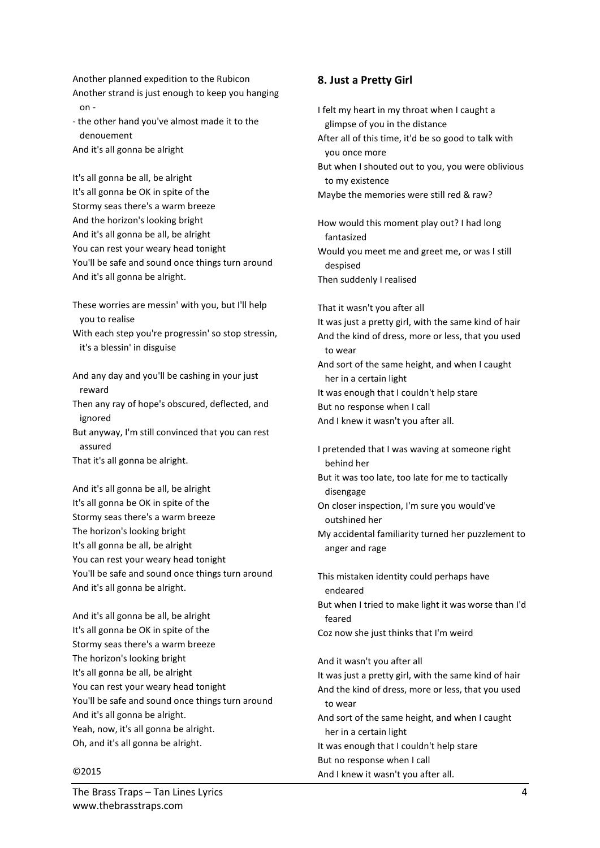Another planned expedition to the Rubicon Another strand is just enough to keep you hanging on -

- the other hand you've almost made it to the denouement And it's all gonna be alright

It's all gonna be all, be alright It's all gonna be OK in spite of the Stormy seas there's a warm breeze And the horizon's looking bright And it's all gonna be all, be alright You can rest your weary head tonight You'll be safe and sound once things turn around And it's all gonna be alright.

These worries are messin' with you, but I'll help you to realise

With each step you're progressin' so stop stressin, it's a blessin' in disguise

And any day and you'll be cashing in your just reward

Then any ray of hope's obscured, deflected, and ignored

But anyway, I'm still convinced that you can rest assured

That it's all gonna be alright.

And it's all gonna be all, be alright It's all gonna be OK in spite of the Stormy seas there's a warm breeze The horizon's looking bright It's all gonna be all, be alright You can rest your weary head tonight You'll be safe and sound once things turn around And it's all gonna be alright.

And it's all gonna be all, be alright It's all gonna be OK in spite of the Stormy seas there's a warm breeze The horizon's looking bright It's all gonna be all, be alright You can rest your weary head tonight You'll be safe and sound once things turn around And it's all gonna be alright. Yeah, now, it's all gonna be alright. Oh, and it's all gonna be alright.

#### ©2015

I felt my heart in my throat when I caught a glimpse of you in the distance After all of this time, it'd be so good to talk with you once more But when I shouted out to you, you were oblivious to my existence Maybe the memories were still red & raw? How would this moment play out? I had long fantasized Would you meet me and greet me, or was I still despised Then suddenly I realised That it wasn't you after all It was just a pretty girl, with the same kind of hair And the kind of dress, more or less, that you used to wear And sort of the same height, and when I caught her in a certain light It was enough that I couldn't help stare But no response when I call And I knew it wasn't you after all. I pretended that I was waving at someone right behind her But it was too late, too late for me to tactically disengage On closer inspection, I'm sure you would've outshined her My accidental familiarity turned her puzzlement to anger and rage This mistaken identity could perhaps have endeared But when I tried to make light it was worse than I'd feared Coz now she just thinks that I'm weird And it wasn't you after all It was just a pretty girl, with the same kind of hair And the kind of dress, more or less, that you used to wear And sort of the same height, and when I caught her in a certain light It was enough that I couldn't help stare But no response when I call And I knew it wasn't you after all.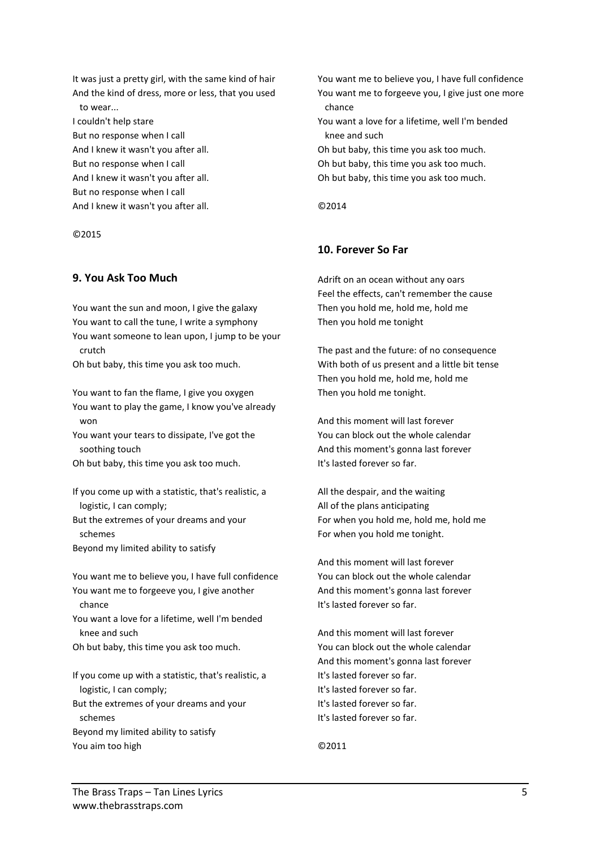It was just a pretty girl, with the same kind of hair And the kind of dress, more or less, that you used to wear... I couldn't help stare But no response when I call And I knew it wasn't you after all. But no response when I call And I knew it wasn't you after all. But no response when I call And I knew it wasn't you after all.

©2015

#### **9. You Ask Too Much**

You want the sun and moon, I give the galaxy You want to call the tune, I write a symphony You want someone to lean upon, I jump to be your crutch

Oh but baby, this time you ask too much.

You want to fan the flame, I give you oxygen You want to play the game, I know you've already won

You want your tears to dissipate, I've got the soothing touch

Oh but baby, this time you ask too much.

If you come up with a statistic, that's realistic, a logistic, I can comply;

But the extremes of your dreams and your schemes

Beyond my limited ability to satisfy

You want me to believe you, I have full confidence You want me to forgeeve you, I give another chance

You want a love for a lifetime, well I'm bended knee and such

Oh but baby, this time you ask too much.

If you come up with a statistic, that's realistic, a logistic, I can comply; But the extremes of your dreams and your schemes Beyond my limited ability to satisfy You aim too high

You want me to believe you, I have full confidence You want me to forgeeve you, I give just one more chance

You want a love for a lifetime, well I'm bended knee and such

Oh but baby, this time you ask too much. Oh but baby, this time you ask too much. Oh but baby, this time you ask too much.

©2014

### **10. Forever So Far**

Adrift on an ocean without any oars Feel the effects, can't remember the cause Then you hold me, hold me, hold me Then you hold me tonight

The past and the future: of no consequence With both of us present and a little bit tense Then you hold me, hold me, hold me Then you hold me tonight.

And this moment will last forever You can block out the whole calendar And this moment's gonna last forever It's lasted forever so far.

All the despair, and the waiting All of the plans anticipating For when you hold me, hold me, hold me For when you hold me tonight.

And this moment will last forever You can block out the whole calendar And this moment's gonna last forever It's lasted forever so far.

And this moment will last forever You can block out the whole calendar And this moment's gonna last forever It's lasted forever so far. It's lasted forever so far. It's lasted forever so far. It's lasted forever so far.

©2011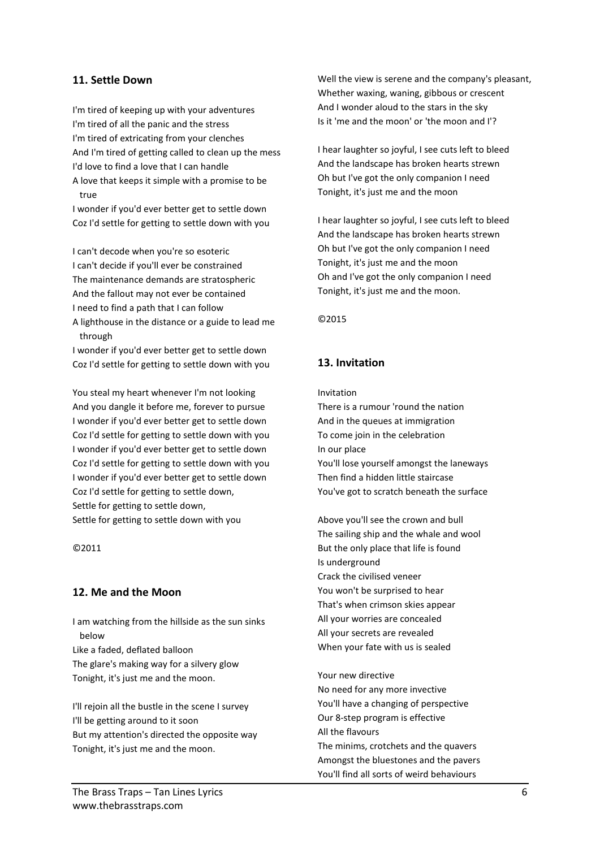## **11. Settle Down**

I'm tired of keeping up with your adventures I'm tired of all the panic and the stress I'm tired of extricating from your clenches And I'm tired of getting called to clean up the mess I'd love to find a love that I can handle A love that keeps it simple with a promise to be

true I wonder if you'd ever better get to settle down

Coz I'd settle for getting to settle down with you

I can't decode when you're so esoteric I can't decide if you'll ever be constrained The maintenance demands are stratospheric And the fallout may not ever be contained I need to find a path that I can follow

A lighthouse in the distance or a guide to lead me through

I wonder if you'd ever better get to settle down Coz I'd settle for getting to settle down with you

You steal my heart whenever I'm not looking And you dangle it before me, forever to pursue I wonder if you'd ever better get to settle down Coz I'd settle for getting to settle down with you I wonder if you'd ever better get to settle down Coz I'd settle for getting to settle down with you I wonder if you'd ever better get to settle down Coz I'd settle for getting to settle down, Settle for getting to settle down, Settle for getting to settle down with you

©2011

### **12. Me and the Moon**

I am watching from the hillside as the sun sinks below

Like a faded, deflated balloon The glare's making way for a silvery glow Tonight, it's just me and the moon.

I'll rejoin all the bustle in the scene I survey I'll be getting around to it soon But my attention's directed the opposite way Tonight, it's just me and the moon.

Well the view is serene and the company's pleasant, Whether waxing, waning, gibbous or crescent And I wonder aloud to the stars in the sky Is it 'me and the moon' or 'the moon and I'?

I hear laughter so joyful, I see cuts left to bleed And the landscape has broken hearts strewn Oh but I've got the only companion I need Tonight, it's just me and the moon

I hear laughter so joyful, I see cuts left to bleed And the landscape has broken hearts strewn Oh but I've got the only companion I need Tonight, it's just me and the moon Oh and I've got the only companion I need Tonight, it's just me and the moon.

©2015

## **13. Invitation**

Invitation

There is a rumour 'round the nation And in the queues at immigration To come join in the celebration In our place You'll lose yourself amongst the laneways Then find a hidden little staircase You've got to scratch beneath the surface

Above you'll see the crown and bull The sailing ship and the whale and wool But the only place that life is found Is underground Crack the civilised veneer You won't be surprised to hear That's when crimson skies appear All your worries are concealed All your secrets are revealed When your fate with us is sealed

Your new directive No need for any more invective You'll have a changing of perspective Our 8-step program is effective All the flavours The minims, crotchets and the quavers Amongst the bluestones and the pavers You'll find all sorts of weird behaviours